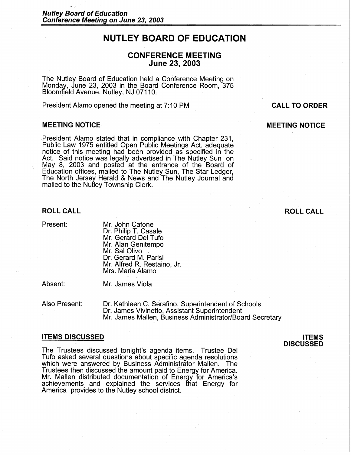# **NUTLEY BOARD OF EDUCATION**

# **CONFERENCE MEETING June 23, 2003**

The Nutley Board of Education held a Conference Meeting on Monday, June 23, 2003 in the Board Conference Room, 375 Bloomfield Avenue, Nutley, NJ 07110.

President Alamo opened the meeting at 7:10 PM

#### **MEETING NOTICE**

President Alamo stated that in compliance with Chapter 231, Public Law 1975 entitled Open Public Meetings Act, adequate notice of this meeting had been provided as specified in the Act. Said notice was legally advertised in The Nutley Sun on May 8, 2003 and posted at the entrance of the Board of Education offices, mailed to The Nutley Sun, The Star Ledger, The North Jersey Herald & News and The Nutley Journal and mailed to the Nutley Township Clerk.

## **ROLL CALL**

Present:

Mr. John Cafone Dr. Philip T. Casale Mr. Gerard Del Tufo Mr. Alan Genitempo Mr. Sal Olivo Dr. Gerard M. Parisi Mr. Alfred R. Restaino, Jr. Mrs. Maria Alamo

Absent:

Mr. James Viola

Also Present: Dr. Kathleen C. Serafino, Superintendent of Schools Dr. James Vivinetto, Assistant Superintendent Mr. James Mallen, Business Administrator/Board Secretary

#### **ITEMS DISCUSSED**

The Trustees discussed tonight's agenda items. Trustee Del Tufo asked several questions about specific agenda resolutions which were answered by Business Administrator Mallen. The Trustees then discussed the amount paid to Energy for America. Mr. Mallen distributed documentation of Energy for America's achievements and explained the services that Energy for America provides to the Nutley school district.

# **CALL TO ORDER**

## **MEETING NOTICE**

# **ROLL CALL**

**ITEMS DISCUSSED**